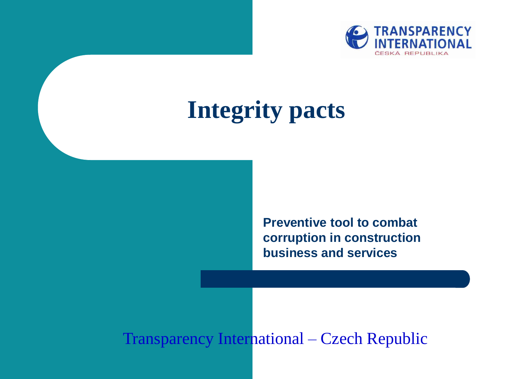

# **Integrity pacts**

**Preventive tool to combat corruption in construction business and services**

#### Transparency International – Czech Republic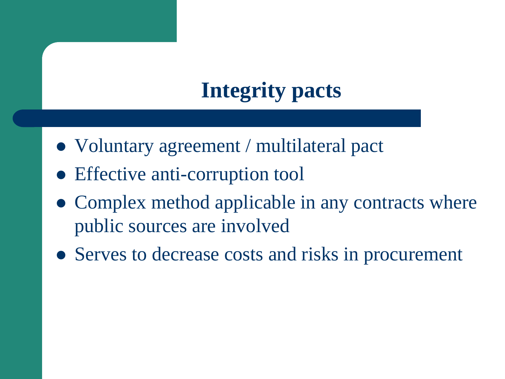### **Integrity pacts**

- Voluntary agreement / multilateral pact
- Effective anti-corruption tool
- Complex method applicable in any contracts where public sources are involved
- Serves to decrease costs and risks in procurement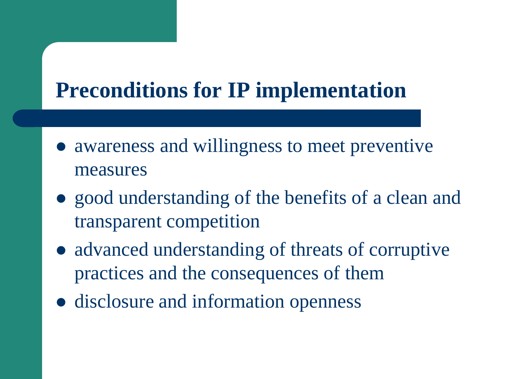#### **Preconditions for IP implementation**

- awareness and willingness to meet preventive measures
- good understanding of the benefits of a clean and transparent competition
- advanced understanding of threats of corruptive practices and the consequences of them
- disclosure and information openness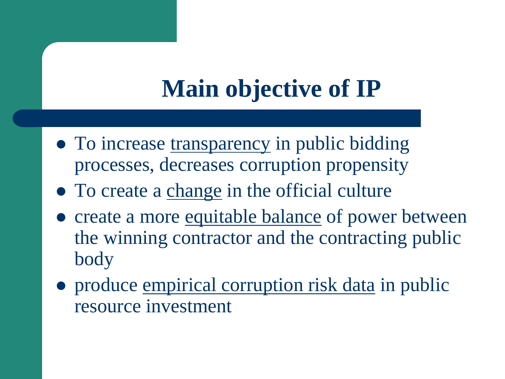# **Main objective of IP**

- To increase transparency in public bidding processes, decreases corruption propensity
- To create a change in the official culture
- create a more equitable balance of power between the winning contractor and the contracting public body
- produce empirical corruption risk data in public resource investment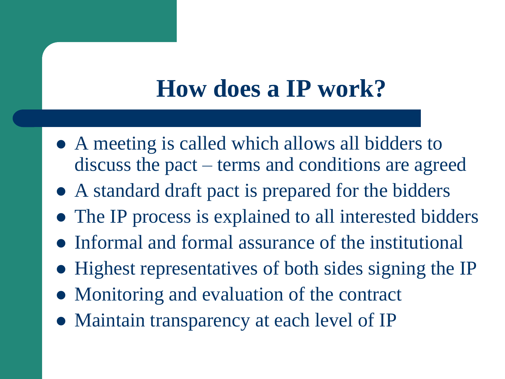## **How does a IP work?**

- A meeting is called which allows all bidders to discuss the pact – terms and conditions are agreed
- A standard draft pact is prepared for the bidders
- The IP process is explained to all interested bidders
- Informal and formal assurance of the institutional
- Highest representatives of both sides signing the IP
- Monitoring and evaluation of the contract
- Maintain transparency at each level of IP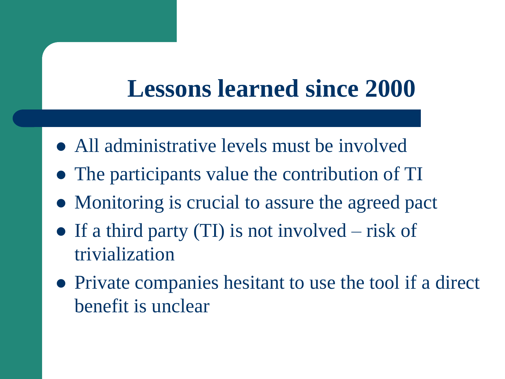## **Lessons learned since 2000**

- All administrative levels must be involved
- The participants value the contribution of TI
- Monitoring is crucial to assure the agreed pact
- $\bullet$  If a third party (TI) is not involved risk of trivialization
- Private companies hesitant to use the tool if a direct benefit is unclear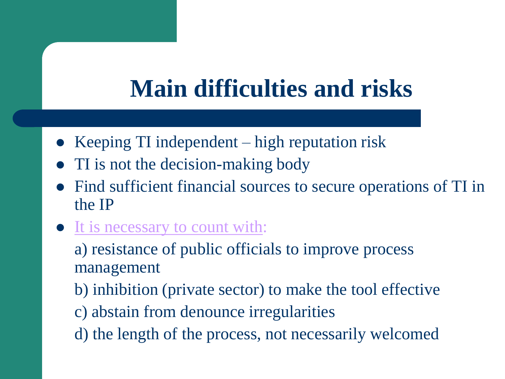## **Main difficulties and risks**

- Keeping TI independent high reputation risk
- TI is not the decision-making body
- Find sufficient financial sources to secure operations of TI in the IP
- It is necessary to count with:

a) resistance of public officials to improve process management

- b) inhibition (private sector) to make the tool effective
- c) abstain from denounce irregularities
- d) the length of the process, not necessarily welcomed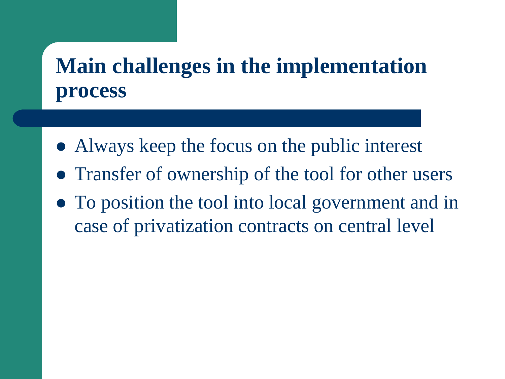#### **Main challenges in the implementation process**

- Always keep the focus on the public interest
- Transfer of ownership of the tool for other users
- To position the tool into local government and in case of privatization contracts on central level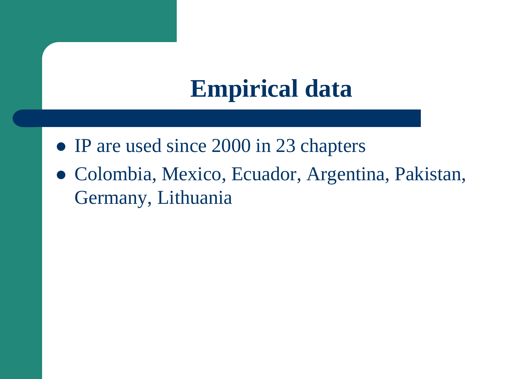## **Empirical data**

- IP are used since 2000 in 23 chapters
- Colombia, Mexico, Ecuador, Argentina, Pakistan, Germany, Lithuania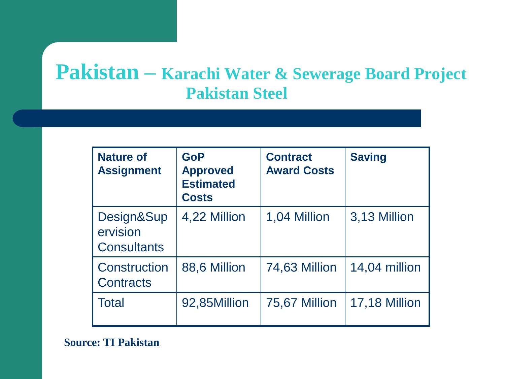#### **Pakistan – Karachi Water & Sewerage Board Project Pakistan Steel**

| <b>Nature of</b><br><b>Assignment</b>     | <b>GoP</b><br><b>Approved</b><br><b>Estimated</b><br><b>Costs</b> | <b>Contract</b><br><b>Award Costs</b> | <b>Saving</b> |
|-------------------------------------------|-------------------------------------------------------------------|---------------------------------------|---------------|
| Design⋑<br>ervision<br><b>Consultants</b> | 4,22 Million                                                      | 1,04 Million                          | 3,13 Million  |
| Construction<br>Contracts                 | 88,6 Million                                                      | 74,63 Million                         | 14,04 million |
| Total                                     | 92,85Million                                                      | 75,67 Million                         | 17,18 Million |

**Source: TI Pakistan**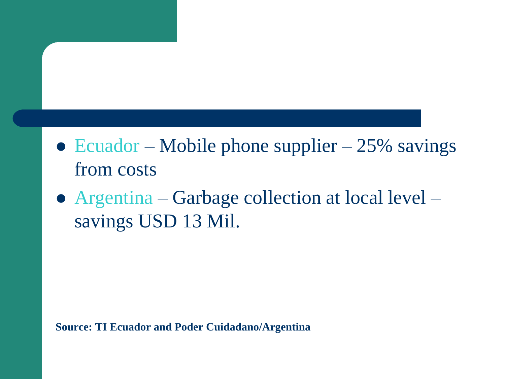- Ecuador Mobile phone supplier  $25\%$  savings from costs
- Argentina Garbage collection at local level savings USD 13 Mil.

**Source: TI Ecuador and Poder Cuidadano/Argentina**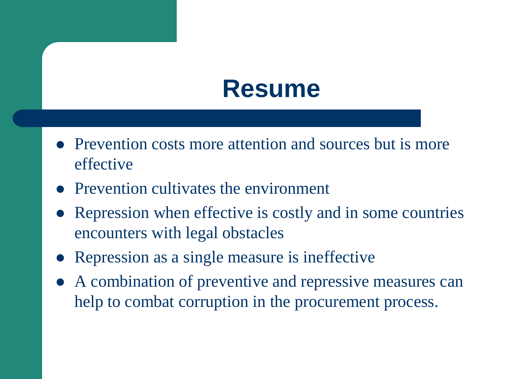### **Resume**

- Prevention costs more attention and sources but is more effective
- Prevention cultivates the environment
- Repression when effective is costly and in some countries encounters with legal obstacles
- Repression as a single measure is ineffective
- A combination of preventive and repressive measures can help to combat corruption in the procurement process.